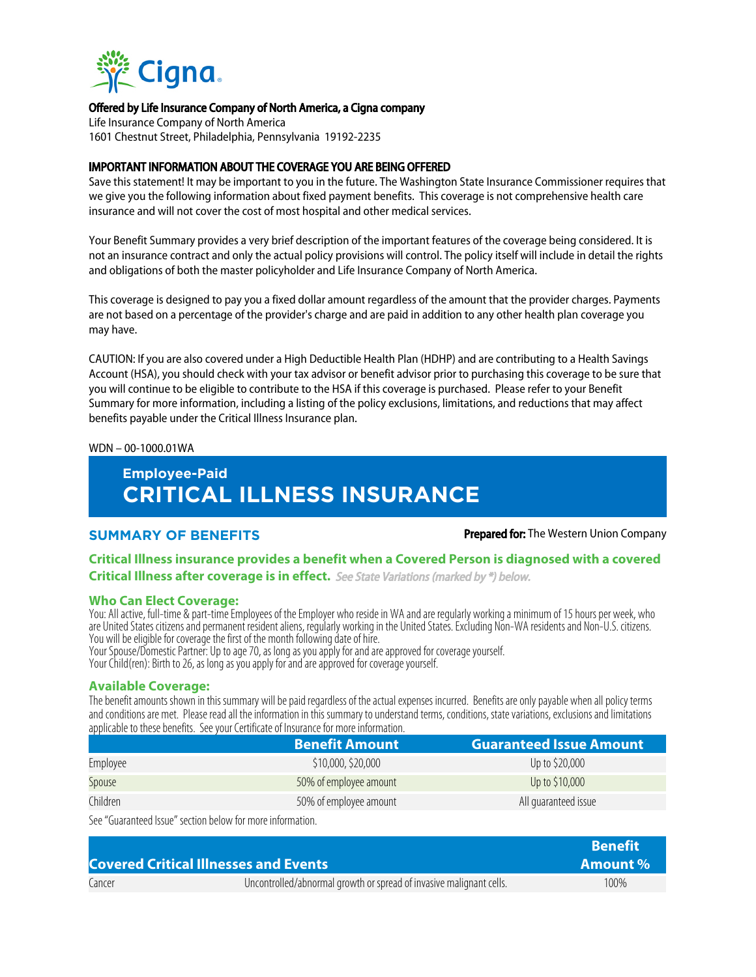

### Offered by Life Insurance Company of North America, a Cigna company

Life Insurance Company of North America 1601 Chestnut Street, Philadelphia, Pennsylvania 19192-2235

### IMPORTANT INFORMATION ABOUT THE COVERAGE YOU ARE BEING OFFERED

Save this statement! It may be important to you in the future. The Washington State Insurance Commissioner requires that we give you the following information about fixed payment benefits. This coverage is not comprehensive health care insurance and will not cover the cost of most hospital and other medical services.

Your Benefit Summary provides a very brief description of the important features of the coverage being considered. It is not an insurance contract and only the actual policy provisions will control. The policy itself will include in detail the rights and obligations of both the master policyholder and Life Insurance Company of North America.

This coverage is designed to pay you a fixed dollar amount regardless of the amount that the provider charges. Payments are not based on a percentage of the provider's charge and are paid in addition to any other health plan coverage you may have.

CAUTION: If you are also covered under a High Deductible Health Plan (HDHP) and are contributing to a Health Savings Account (HSA), you should check with your tax advisor or benefit advisor prior to purchasing this coverage to be sure that you will continue to be eligible to contribute to the HSA if this coverage is purchased. Please refer to your Benefit Summary for more information, including a listing of the policy exclusions, limitations, and reductions that may affect benefits payable under the Critical Illness Insurance plan.

### WDN – 00-1000.01WA

# **Employee-Paid CRITICAL ILLNESS INSURANCE**

### **SUMMARY OF BENEFITS Prepared for:** The Western Union Company

### **Critical Illness insurance provides a benefit when a Covered Person is diagnosed with a covered Critical Illness after coverage is in effect.** See State Variations (marked by \*) below.

### **Who Can Elect Coverage:**

You: All active, full-time & part-time Employees of the Employer who reside in WA and are regularly working a minimum of 15 hours per week, who are United States citizens and permanent resident aliens, regularly working in the United States. Excluding Non-WA residents and Non-U.S. citizens. You will be eligible for coverage the first of the month following date of hire.

Your Spouse/Domestic Partner: Up to age 70, as long as you apply for and are approved for coverage yourself.

Your Child(ren): Birth to 26, as long as you apply for and are approved for coverage yourself.

### **Available Coverage:**

The benefit amounts shown in this summary will be paid regardless of the actual expenses incurred. Benefits are only payable when all policy terms and conditions are met. Please read all the information in this summary to understand terms, conditions, state variations, exclusions and limitations applicable to these benefits. See your Certificate of Insurance for more information.

|          | <b>Benefit Amount</b>  | <b>Guaranteed Issue Amount</b> |
|----------|------------------------|--------------------------------|
| Employee | \$10,000, \$20,000     | Up to \$20,000                 |
| Spouse   | 50% of employee amount | Up to \$10,000                 |
| Children | 50% of employee amount | All quaranteed issue           |

See "Guaranteed Issue" section below for more information.

|                                              | <b>Benefit</b>                                                      |      |
|----------------------------------------------|---------------------------------------------------------------------|------|
| <b>Covered Critical Illnesses and Events</b> | Amount %                                                            |      |
| Cancer                                       | Uncontrolled/abnormal growth or spread of invasive malignant cells. | 100% |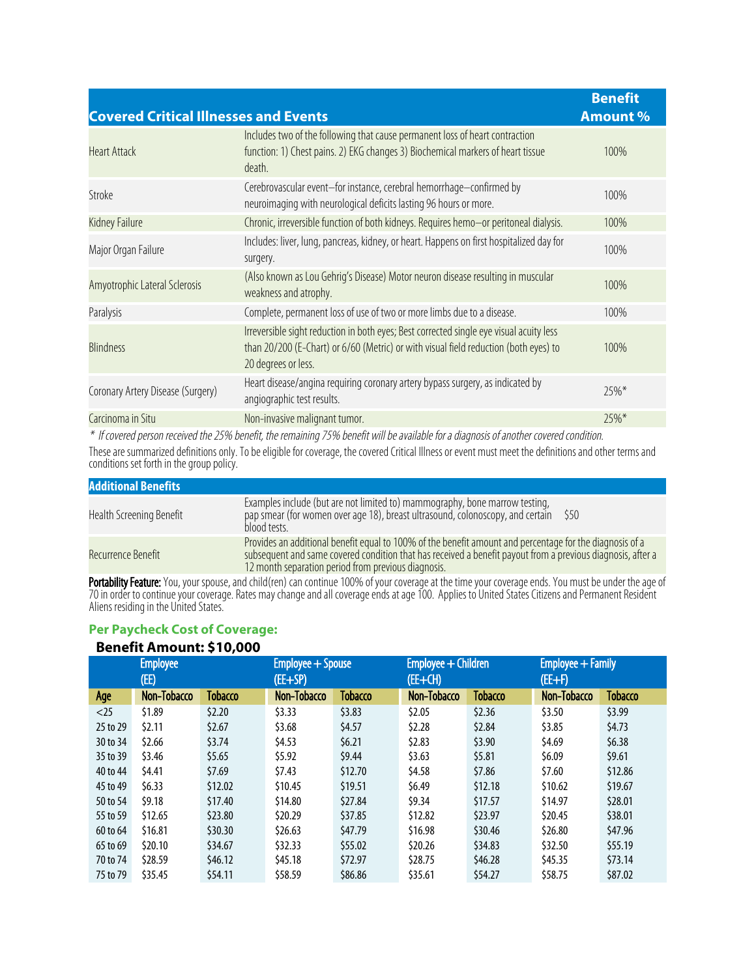| Includes two of the following that cause permanent loss of heart contraction<br>function: 1) Chest pains. 2) EKG changes 3) Biochemical markers of heart tissue<br><b>Heart Attack</b><br>100%<br>death.                           |  |
|------------------------------------------------------------------------------------------------------------------------------------------------------------------------------------------------------------------------------------|--|
| Cerebrovascular event-for instance, cerebral hemorrhage-confirmed by<br>Stroke<br>100%<br>neuroimaging with neurological deficits lasting 96 hours or more.                                                                        |  |
| Chronic, irreversible function of both kidneys. Requires hemo-or peritoneal dialysis.<br>Kidney Failure<br>100%                                                                                                                    |  |
| Includes: liver, lung, pancreas, kidney, or heart. Happens on first hospitalized day for<br>100%<br>Major Organ Failure<br>surgery.                                                                                                |  |
| (Also known as Lou Gehrig's Disease) Motor neuron disease resulting in muscular<br>Amyotrophic Lateral Sclerosis<br>100%<br>weakness and atrophy.                                                                                  |  |
| Complete, permanent loss of use of two or more limbs due to a disease.<br>Paralysis<br>100%                                                                                                                                        |  |
| Irreversible sight reduction in both eyes; Best corrected single eye visual acuity less<br><b>Blindness</b><br>than 20/200 (E-Chart) or 6/60 (Metric) or with visual field reduction (both eyes) to<br>100%<br>20 degrees or less. |  |
| Heart disease/angina requiring coronary artery bypass surgery, as indicated by<br>Coronary Artery Disease (Surgery)<br>$25\%*$<br>angiographic test results.                                                                       |  |
| Non-invasive malignant tumor.<br>Carcinoma in Situ<br>$25\%*$                                                                                                                                                                      |  |

\* If covered person received the 25% benefit, the remaining 75% benefit will be available for a diagnosis of another covered condition.

These are summarized definitions only. To be eligible for coverage, the covered Critical Illness or event must meet the definitions and other terms and conditions set forth in the group policy.

| <b>Additional Benefits</b> |                                                                                                                                                                                                                                                                                |
|----------------------------|--------------------------------------------------------------------------------------------------------------------------------------------------------------------------------------------------------------------------------------------------------------------------------|
| Health Screening Benefit   | Examples include (but are not limited to) mammography, bone marrow testing,<br>pap smear (for women over age 18), breast ultrasound, colonoscopy, and certain \$50<br>blood tests.                                                                                             |
| Recurrence Benefit         | Provides an additional benefit equal to 100% of the benefit amount and percentage for the diagnosis of a<br>subsequent and same covered condition that has received a benefit payout from a previous diagnosis, after a<br>12 month separation period from previous diagnosis. |

**Portability Feature:** You, your spouse, and child(ren) can continue 100% of your coverage at the time your coverage ends. You must be under the age of 70 in order to continue your coverage. Rates may change and all coverage ends at age 100. Applies to United States Citizens and Permanent Resident Aliens residing in the United States.

## **Per Paycheck Cost of Coverage:**

### **Benefit Amount: \$10,000**

| <b>Employee</b> |             | Employee + Spouse |             | Employee + Children |             | Employee + Family |             |                |
|-----------------|-------------|-------------------|-------------|---------------------|-------------|-------------------|-------------|----------------|
| (EE)            |             | $(EE+SP)$         |             | (EE+CH)             |             | (EE+F)            |             |                |
| Age             | Non-Tobacco | Tobacco           | Non-Tobacco | <b>Tobacco</b>      | Non-Tobacco | <b>Tobacco</b>    | Non-Tobacco | <b>Tobacco</b> |
| $<$ 25          | \$1.89      | \$2.20            | 53.33       | \$3.83              | \$2.05      | \$2.36            | \$3.50      | \$3.99         |
| 25 to 29        | 52.11       | \$2.67            | \$3.68      | \$4.57              | \$2.28      | \$2.84            | \$3.85      | \$4.73         |
| 30 to 34        | \$2.66      | \$3.74            | \$4.53      | 56.21               | \$2.83      | \$3.90            | \$4.69      | \$6.38         |
| 35 to 39        | \$3.46      | \$5.65            | \$5.92      | \$9.44              | \$3.63      | \$5.81            | \$6.09      | \$9.61         |
| 40 to 44        | \$4.41      | \$7.69            | \$7.43      | \$12.70             | \$4.58      | \$7.86            | 57.60       | \$12.86        |
| 45 to 49        | \$6.33      | \$12.02           | \$10.45     | \$19.51             | \$6.49      | \$12.18           | \$10.62     | \$19.67        |
| 50 to 54        | \$9.18      | \$17.40           | \$14.80     | \$27.84             | \$9.34      | \$17.57           | \$14.97     | \$28.01        |
| 55 to 59        | \$12.65     | \$23.80           | \$20.29     | \$37.85             | \$12.82     | \$23.97           | \$20.45     | \$38.01        |
| 60 to 64        | \$16.81     | \$30.30           | \$26.63     | \$47.79             | \$16.98     | \$30.46           | \$26.80     | \$47.96        |
| 65 to 69        | \$20.10     | \$34.67           | \$32.33     | \$55.02             | \$20.26     | \$34.83           | \$32.50     | \$55.19        |
| 70 to 74        | \$28.59     | \$46.12           | \$45.18     | \$72.97             | \$28.75     | \$46.28           | \$45.35     | \$73.14        |
| 75 to 79        | \$35.45     | \$54.11           | \$58.59     | \$86.86             | \$35.61     | \$54.27           | \$58.75     | \$87.02        |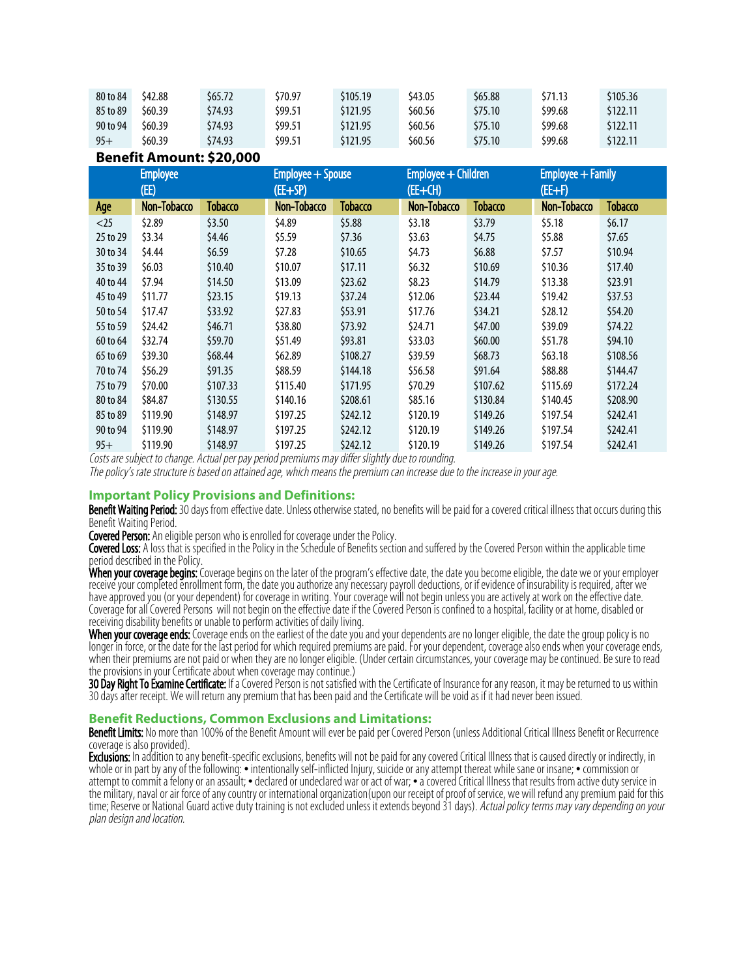| 80 to 84 | \$42.88 | \$65.72 | \$70.97 | \$105.19 | \$43.05 | \$65.88 | \$71.13 | \$105.36 |
|----------|---------|---------|---------|----------|---------|---------|---------|----------|
| 85 to 89 | \$60.39 | \$74.93 | \$99.51 | \$121.95 | \$60.56 | \$75.10 | \$99.68 | \$122.11 |
| 90 to 94 | \$60.39 | \$74.93 | \$99.51 | \$121.95 | \$60.56 | \$75.10 | \$99.68 | \$122.11 |
| $95+$    | \$60.39 | \$74.93 | \$99.51 | \$121.95 | \$60.56 | \$75.10 | \$99.68 | \$122.11 |

### **Benefit Amount: \$20,000**

| <b>Employee</b> |             | Employee + Spouse |             | Employee + Children |             | Employee + Family |             |          |
|-----------------|-------------|-------------------|-------------|---------------------|-------------|-------------------|-------------|----------|
| (EE)            |             | $(EE+SP)$         |             | (EE+CH)             |             | $(EE+F)$          |             |          |
| Age             | Non-Tobacco | Tobacco           | Non-Tobacco | <b>Tobacco</b>      | Non-Tobacco | <b>Tobacco</b>    | Non-Tobacco | Tobacco  |
| $<$ 25          | \$2.89      | \$3.50            | \$4.89      | \$5.88              | \$3.18      | \$3.79            | \$5.18      | \$6.17   |
| 25 to 29        | \$3.34      | \$4.46            | \$5.59      | \$7.36              | \$3.63      | \$4.75            | \$5.88      | \$7.65   |
| 30 to 34        | \$4.44      | \$6.59            | \$7.28      | \$10.65             | \$4.73      | \$6.88            | \$7.57      | \$10.94  |
| 35 to 39        | \$6.03\$    | \$10.40           | \$10.07     | \$17.11             | \$6.32      | \$10.69           | \$10.36     | \$17.40  |
| 40 to 44        | \$7.94      | \$14.50           | \$13.09     | \$23.62             | \$8.23      | \$14.79           | \$13.38     | \$23.91  |
| 45 to 49        | \$11.77     | \$23.15           | \$19.13     | \$37.24             | \$12.06     | \$23.44           | \$19.42     | \$37.53  |
| 50 to 54        | \$17.47     | \$33.92           | \$27.83     | \$53.91             | \$17.76     | \$34.21           | \$28.12     | \$54.20  |
| 55 to 59        | \$24.42     | \$46.71           | \$38.80     | \$73.92             | \$24.71     | \$47.00           | \$39.09     | \$74.22  |
| 60 to 64        | \$32.74     | \$59.70           | \$51.49     | \$93.81             | \$33.03     | \$60.00           | \$51.78     | \$94.10  |
| 65 to 69        | \$39.30     | \$68.44           | \$62.89     | \$108.27            | \$39.59     | \$68.73           | \$63.18     | \$108.56 |
| 70 to 74        | \$56.29     | \$91.35           | \$88.59     | \$144.18            | \$56.58     | \$91.64           | \$88.88     | \$144.47 |
| 75 to 79        | \$70.00     | \$107.33          | \$115.40    | \$171.95            | \$70.29     | \$107.62          | \$115.69    | \$172.24 |
| 80 to 84        | \$84.87     | \$130.55          | \$140.16    | \$208.61            | \$85.16     | \$130.84          | \$140.45    | \$208.90 |
| 85 to 89        | \$119.90    | \$148.97          | \$197.25    | \$242.12            | \$120.19    | \$149.26          | \$197.54    | \$242.41 |
| 90 to 94        | \$119.90    | \$148.97          | \$197.25    | \$242.12            | \$120.19    | \$149.26          | \$197.54    | \$242.41 |
| $95+$           | \$119.90    | \$148.97          | \$197.25    | \$242.12            | \$120.19    | \$149.26          | \$197.54    | \$242.41 |

Costs are subject to change. Actual per pay period premiums may differ slightly due to rounding.

The policy's rate structure is based on attained age, which means the premium can increase due to the increase in your age.

### **Important Policy Provisions and Definitions:**

Benefit Waiting Period: 30 days from effective date. Unless otherwise stated, no benefits will be paid for a covered critical illness that occurs during this Benefit Waiting Period.

Covered Person: An eligible person who is enrolled for coverage under the Policy.

Covered Loss: A loss that is specified in the Policy in the Schedule of Benefits section and suffered by the Covered Person within the applicable time period described in the Policy.

When your coverage begins: Coverage begins on the later of the program's effective date, the date you become eligible, the date we or your employer receive your completed enrollment form, the date you authorize any necessary payroll deductions, or if evidence of insurability is required, after we have approved you (or your dependent) for coverage in writing. Your coverage will not begin unless you are actively at work on the effective date. Coverage for all Covered Persons will not begin on the effective date if the Covered Person is confined to a hospital, facility or at home, disabled or receiving disability benefits or unable to perform activities of daily living.

**When your coverage ends:** Coverage ends on the earliest of the date you and your dependents are no longer eligible, the date the group policy is no longer in force, or the date for the last period for which required premiums are paid. For your dependent, coverage also ends when your coverage ends, when their premiums are not paid or when they are no longer eligible. (Under certain circumstances, your coverage may be continued. Be sure to read the provisions in your Certificate about when coverage may continue.)

**30 Day Right To Examine Certificate:** If a Covered Person is not satisfied with the Certificate of Insurance for any reason, it may be returned to us within 30 days after receipt. We will return any premium that has been paid and the Certificate will be void as if it had never been issued.

### **Benefit Reductions, Common Exclusions and Limitations:**

Benefit Limits: No more than 100% of the Benefit Amount will ever be paid per Covered Person (unless Additional Critical Illness Benefit or Recurrence coverage is also provided).

Exclusions: In addition to any benefit-specific exclusions, benefits will not be paid for any covered Critical Illness that is caused directly or indirectly, in whole or in part by any of the following: • intentionally self-inflicted Injury, suicide or any attempt thereat while sane or insane; • commission or attempt to commit a felony or an assault; • declared or undeclared war or act of war; • a covered Critical Illness that results from active duty service in the military, naval or air force of any country or international organization(upon our receipt of proof of service, we will refund any premium paid for this time; Reserve or National Guard active duty training is not excluded unless it extends beyond 31 days). Actual policy terms may vary depending on your plan design and location.